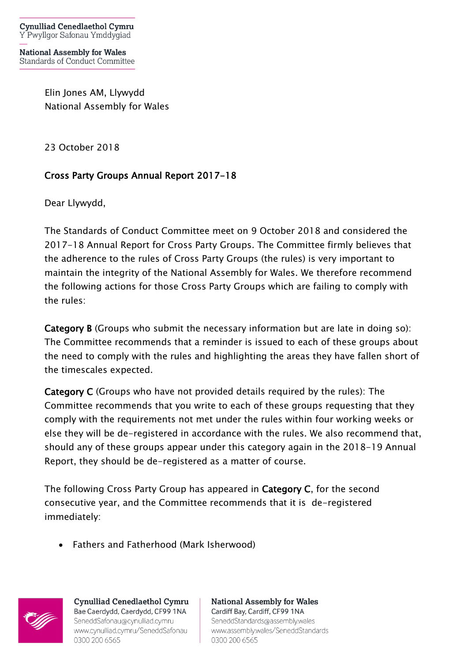**National Assembly for Wales** Standards of Conduct Committee

> Elin Jones AM, Llywydd National Assembly for Wales

23 October 2018

## Cross Party Groups Annual Report 2017-18

Dear Llywydd,

The Standards of Conduct Committee meet on 9 October 2018 and considered the 2017-18 Annual Report for Cross Party Groups. The Committee firmly believes that the adherence to the rules of Cross Party Groups (the rules) is very important to maintain the integrity of the National Assembly for Wales. We therefore recommend the following actions for those Cross Party Groups which are failing to comply with the rules:

Category B (Groups who submit the necessary information but are late in doing so): The Committee recommends that a reminder is issued to each of these groups about the need to comply with the rules and highlighting the areas they have fallen short of the timescales expected.

Category C (Groups who have not provided details required by the rules): The Committee recommends that you write to each of these groups requesting that they comply with the requirements not met under the rules within four working weeks or else they will be de-registered in accordance with the rules. We also recommend that, should any of these groups appear under this category again in the 2018-19 Annual Report, they should be de-registered as a matter of course.

The following Cross Party Group has appeared in Category C, for the second consecutive year, and the Committee recommends that it is de-registered immediately:

• Fathers and Fatherhood (Mark Isherwood)



**Cynulliad Cenedlaethol Cymru** Bae Caerdydd, Caerdydd, CF99 1NA SeneddSafonau@cynulliad.cymru www.cynulliad.cymru/SeneddSafonau 0300 200 6565

**National Assembly for Wales** Cardiff Bay, Cardiff, CF99 1NA SeneddStandards@assembly.wales www.assembly.wales/SeneddStandards 0300 200 6565